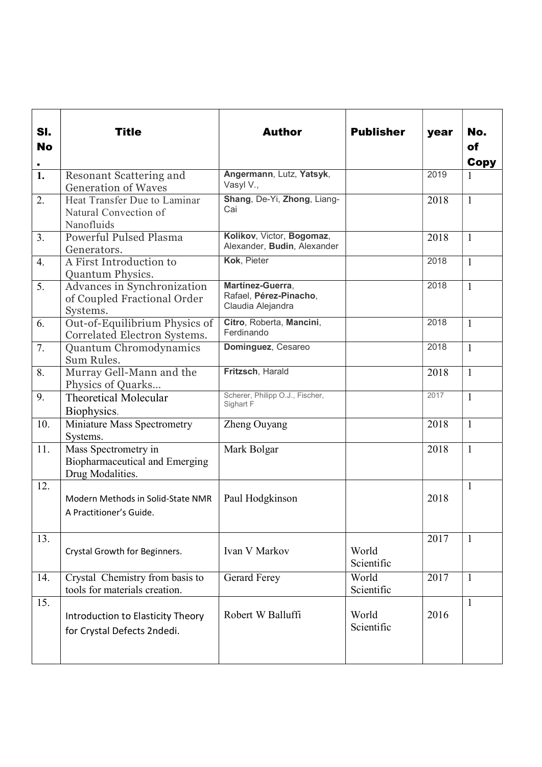| SI.<br><b>No</b><br>$\blacksquare$ | <b>Title</b>                                                               | <b>Author</b>                                                   | <b>Publisher</b>    | year | No.<br>of<br><b>Copy</b> |
|------------------------------------|----------------------------------------------------------------------------|-----------------------------------------------------------------|---------------------|------|--------------------------|
| $\overline{1}$ .                   | Resonant Scattering and<br><b>Generation of Waves</b>                      | Angermann, Lutz, Yatsyk,<br>Vasyl V.,                           |                     | 2019 | 1                        |
| 2.                                 | Heat Transfer Due to Laminar<br>Natural Convection of<br>Nanofluids        | Shang, De-Yi, Zhong, Liang-<br>Cai                              |                     | 2018 | $\mathbf{1}$             |
| 3.                                 | <b>Powerful Pulsed Plasma</b><br>Generators.                               | Kolikov, Victor, Bogomaz,<br>Alexander, Budin, Alexander        |                     | 2018 | $\mathbf{1}$             |
| 4.                                 | A First Introduction to<br>Quantum Physics.                                | Kok, Pieter                                                     |                     | 2018 | $\mathbf{1}$             |
| 5.                                 | Advances in Synchronization<br>of Coupled Fractional Order<br>Systems.     | Martínez-Guerra,<br>Rafael, Pérez-Pinacho,<br>Claudia Alejandra |                     | 2018 | $\mathbf{1}$             |
| 6.                                 | Out-of-Equilibrium Physics of<br>Correlated Electron Systems.              | Citro, Roberta, Mancini,<br>Ferdinando                          |                     | 2018 | $\mathbf{1}$             |
| 7.                                 | Quantum Chromodynamics<br>Sum Rules.                                       | Dominguez, Cesareo                                              |                     | 2018 | $\mathbf{1}$             |
| 8.                                 | Murray Gell-Mann and the<br>Physics of Quarks                              | Fritzsch, Harald                                                |                     | 2018 | $\mathbf{1}$             |
| 9.                                 | <b>Theoretical Molecular</b><br>Biophysics.                                | Scherer, Philipp O.J., Fischer,<br>Sighart F                    |                     | 2017 | $\mathbf{1}$             |
| 10.                                | Miniature Mass Spectrometry<br>Systems.                                    | Zheng Ouyang                                                    |                     | 2018 | $\mathbf{1}$             |
| 11.                                | Mass Spectrometry in<br>Biopharmaceutical and Emerging<br>Drug Modalities. | Mark Bolgar                                                     |                     | 2018 | $\mathbf{1}$             |
| 12.                                | Modern Methods in Solid-State NMR<br>A Practitioner's Guide.               | Paul Hodgkinson                                                 |                     | 2018 | $\mathbf{1}$             |
| 13.                                | Crystal Growth for Beginners.                                              | Ivan V Markov                                                   | World<br>Scientific | 2017 | $\mathbf{1}$             |
| 14.                                | Crystal Chemistry from basis to<br>tools for materials creation.           | <b>Gerard Ferey</b>                                             | World<br>Scientific | 2017 | $\mathbf{1}$             |
| 15.                                | Introduction to Elasticity Theory<br>for Crystal Defects 2ndedi.           | Robert W Balluffi                                               | World<br>Scientific | 2016 | $\mathbf{1}$             |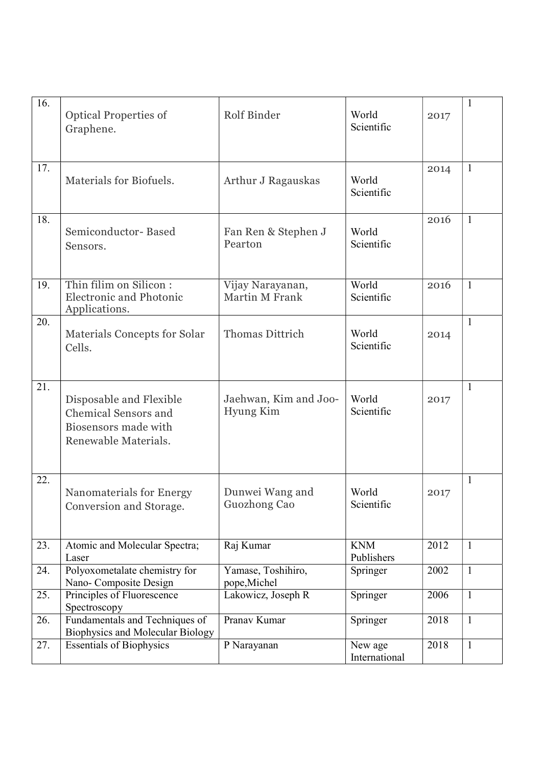| $\overline{16}$ . | <b>Optical Properties of</b><br>Graphene.                                                              | Rolf Binder                        | World<br>Scientific      | 2017 | $\mathbf{1}$ |
|-------------------|--------------------------------------------------------------------------------------------------------|------------------------------------|--------------------------|------|--------------|
| 17.               | Materials for Biofuels.                                                                                | Arthur J Ragauskas                 | World<br>Scientific      | 2014 | $\mathbf{1}$ |
| 18.               | Semiconductor-Based<br>Sensors.                                                                        | Fan Ren & Stephen J<br>Pearton     | World<br>Scientific      | 2016 | $\mathbf{1}$ |
| 19.               | Thin filim on Silicon:<br><b>Electronic and Photonic</b><br>Applications.                              | Vijay Narayanan,<br>Martin M Frank | World<br>Scientific      | 2016 | $\mathbf{1}$ |
| 20.               | Materials Concepts for Solar<br>Cells.                                                                 | Thomas Dittrich                    | World<br>Scientific      | 2014 | 1            |
| $\overline{21}$ . | Disposable and Flexible<br><b>Chemical Sensors and</b><br>Biosensors made with<br>Renewable Materials. | Jaehwan, Kim and Joo-<br>Hyung Kim | World<br>Scientific      | 2017 | $\mathbf{1}$ |
| 22.               | Nanomaterials for Energy<br>Conversion and Storage.                                                    | Dunwei Wang and<br>Guozhong Cao    | World<br>Scientific      | 2017 | $\mathbf{1}$ |
| 23.               | Atomic and Molecular Spectra;<br>Laser                                                                 | Raj Kumar                          | <b>KNM</b><br>Publishers | 2012 | $\mathbf{1}$ |
| 24.               | Polyoxometalate chemistry for<br>Nano- Composite Design                                                | Yamase, Toshihiro,<br>pope, Michel | Springer                 | 2002 | $\mathbf{1}$ |
| 25.               | Principles of Fluorescence<br>Spectroscopy                                                             | Lakowicz, Joseph R                 | Springer                 | 2006 | $\mathbf{1}$ |
| 26.               | Fundamentals and Techniques of<br><b>Biophysics and Molecular Biology</b>                              | Pranav Kumar                       | Springer                 | 2018 | $\mathbf{1}$ |
| 27.               | <b>Essentials of Biophysics</b>                                                                        | P Narayanan                        | New age<br>International | 2018 | $\mathbf{1}$ |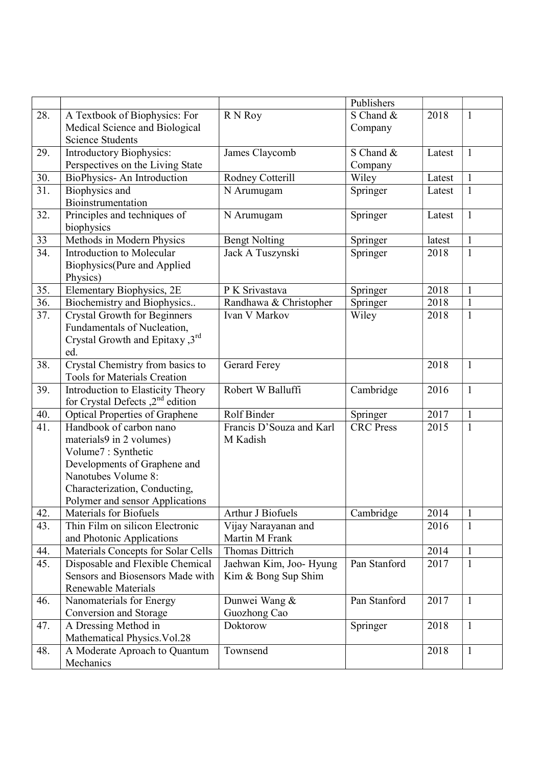|                   |                                       |                          | Publishers       |        |              |
|-------------------|---------------------------------------|--------------------------|------------------|--------|--------------|
| 28.               | A Textbook of Biophysics: For         | R N Roy                  | S Chand &        | 2018   | $\mathbf{1}$ |
|                   | Medical Science and Biological        |                          | Company          |        |              |
|                   | <b>Science Students</b>               |                          |                  |        |              |
| 29.               | Introductory Biophysics:              | James Claycomb           | S Chand &        | Latest | $\mathbf{1}$ |
|                   | Perspectives on the Living State      |                          | Company          |        |              |
| 30.               | BioPhysics- An Introduction           | Rodney Cotterill         | Wiley            | Latest | $\mathbf{1}$ |
| 31.               | Biophysics and                        | N Arumugam               | Springer         | Latest | 1            |
|                   | Bioinstrumentation                    |                          |                  |        |              |
| 32.               | Principles and techniques of          | N Arumugam               | Springer         | Latest | $\mathbf{1}$ |
|                   | biophysics                            |                          |                  |        |              |
| 33                | Methods in Modern Physics             | <b>Bengt Nolting</b>     | Springer         | latest | $\mathbf{1}$ |
| 34.               | <b>Introduction to Molecular</b>      | Jack A Tuszynski         | Springer         | 2018   | $\mathbf{1}$ |
|                   | Biophysics(Pure and Applied           |                          |                  |        |              |
|                   | Physics)                              |                          |                  |        |              |
| 35.               | Elementary Biophysics, 2E             | P K Srivastava           | Springer         | 2018   | $\mathbf{1}$ |
| $\overline{36}$ . | Biochemistry and Biophysics           | Randhawa & Christopher   | Springer         | 2018   | $\mathbf{1}$ |
| 37.               | <b>Crystal Growth for Beginners</b>   | Ivan V Markov            | Wiley            | 2018   | $\mathbf{1}$ |
|                   | Fundamentals of Nucleation,           |                          |                  |        |              |
|                   | Crystal Growth and Epitaxy ,3rd       |                          |                  |        |              |
|                   | ed.                                   |                          |                  |        |              |
| 38.               | Crystal Chemistry from basics to      | <b>Gerard Ferey</b>      |                  | 2018   | $\mathbf{1}$ |
|                   | <b>Tools for Materials Creation</b>   |                          |                  |        |              |
| 39.               | Introduction to Elasticity Theory     | Robert W Balluffi        | Cambridge        | 2016   | $\mathbf{1}$ |
|                   | for Crystal Defects $2nd$ edition     |                          |                  |        |              |
| 40.               | <b>Optical Properties of Graphene</b> | Rolf Binder              | Springer         | 2017   | $\mathbf{1}$ |
| 41.               | Handbook of carbon nano               | Francis D'Souza and Karl | <b>CRC</b> Press | 2015   | $\mathbf{1}$ |
|                   | materials9 in 2 volumes)              | M Kadish                 |                  |        |              |
|                   | Volume7: Synthetic                    |                          |                  |        |              |
|                   | Developments of Graphene and          |                          |                  |        |              |
|                   | Nanotubes Volume 8:                   |                          |                  |        |              |
|                   | Characterization, Conducting,         |                          |                  |        |              |
|                   | Polymer and sensor Applications       |                          |                  |        |              |
| 42.               | Materials for Biofuels                | Arthur J Biofuels        | Cambridge        | 2014   | $\mathbf{1}$ |
| 43.               | Thin Film on silicon Electronic       | Vijay Narayanan and      |                  | 2016   | $\mathbf{1}$ |
|                   | and Photonic Applications             | Martin M Frank           |                  |        |              |
| 44.               | Materials Concepts for Solar Cells    | <b>Thomas Dittrich</b>   |                  | 2014   | 1            |
| 45.               | Disposable and Flexible Chemical      | Jaehwan Kim, Joo- Hyung  | Pan Stanford     | 2017   | $\mathbf{1}$ |
|                   | Sensors and Biosensors Made with      | Kim & Bong Sup Shim      |                  |        |              |
|                   | Renewable Materials                   |                          |                  |        |              |
| 46.               | Nanomaterials for Energy              | Dunwei Wang &            | Pan Stanford     | 2017   | 1            |
|                   | Conversion and Storage                | Guozhong Cao             |                  |        |              |
| 47.               | A Dressing Method in                  | Doktorow                 | Springer         | 2018   | $\mathbf{1}$ |
|                   | Mathematical Physics. Vol.28          |                          |                  |        |              |
| 48.               | A Moderate Aproach to Quantum         | Townsend                 |                  | 2018   | $\mathbf{1}$ |
|                   | Mechanics                             |                          |                  |        |              |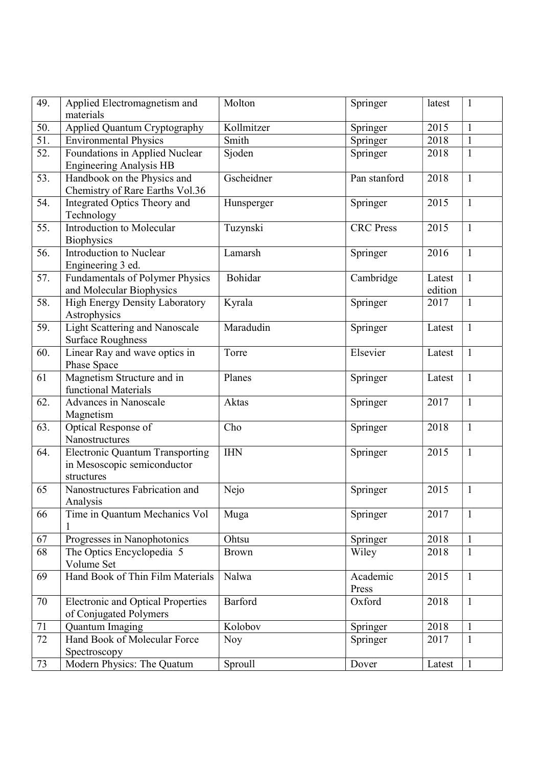| 49. | Applied Electromagnetism and<br>materials                                           | Molton       | Springer          | latest            | $\mathbf{1}$ |
|-----|-------------------------------------------------------------------------------------|--------------|-------------------|-------------------|--------------|
| 50. | Applied Quantum Cryptography                                                        | Kollmitzer   | Springer          | 2015              | $\mathbf{1}$ |
| 51. | <b>Environmental Physics</b>                                                        | Smith        | Springer          | 2018              | $\mathbf{1}$ |
| 52. | Foundations in Applied Nuclear<br><b>Engineering Analysis HB</b>                    | Sjoden       | Springer          | 2018              | $\mathbf{1}$ |
| 53. | Handbook on the Physics and<br>Chemistry of Rare Earths Vol.36                      | Gscheidner   | Pan stanford      | 2018              | $\mathbf{1}$ |
| 54. | Integrated Optics Theory and<br>Technology                                          | Hunsperger   | Springer          | 2015              | $\mathbf{1}$ |
| 55. | Introduction to Molecular<br><b>Biophysics</b>                                      | Tuzynski     | <b>CRC</b> Press  | 2015              | $\mathbf{1}$ |
| 56. | Introduction to Nuclear<br>Engineering 3 ed.                                        | Lamarsh      | Springer          | 2016              | $\mathbf{1}$ |
| 57. | Fundamentals of Polymer Physics<br>and Molecular Biophysics                         | Bohidar      | Cambridge         | Latest<br>edition | $\mathbf{1}$ |
| 58. | High Energy Density Laboratory<br>Astrophysics                                      | Kyrala       | Springer          | 2017              | $\mathbf{1}$ |
| 59. | <b>Light Scattering and Nanoscale</b><br><b>Surface Roughness</b>                   | Maradudin    | Springer          | Latest            | $\mathbf{1}$ |
| 60. | Linear Ray and wave optics in<br>Phase Space                                        | Torre        | Elsevier          | Latest            | $\mathbf{1}$ |
| 61  | Magnetism Structure and in<br>functional Materials                                  | Planes       | Springer          | Latest            | $\mathbf{1}$ |
| 62. | Advances in Nanoscale<br>Magnetism                                                  | Aktas        | Springer          | 2017              | $\mathbf{1}$ |
| 63. | Optical Response of<br>Nanostructures                                               | Cho          | Springer          | 2018              | $\mathbf{1}$ |
| 64. | <b>Electronic Quantum Transporting</b><br>in Mesoscopic semiconductor<br>structures | <b>IHN</b>   | Springer          | 2015              | $\mathbf{1}$ |
| 65  | Nanostructures Fabrication and<br>Analysis                                          | Nejo         | Springer          | 2015              | $\mathbf{1}$ |
| 66  | Time in Quantum Mechanics Vol                                                       | Muga         | Springer          | 2017              | $\mathbf{1}$ |
| 67  | Progresses in Nanophotonics                                                         | Ohtsu        | Springer          | 2018              | $\mathbf{1}$ |
| 68  | The Optics Encyclopedia 5<br>Volume Set                                             | <b>Brown</b> | Wiley             | 2018              | 1            |
| 69  | Hand Book of Thin Film Materials                                                    | Nalwa        | Academic<br>Press | 2015              | $\mathbf{1}$ |
| 70  | <b>Electronic and Optical Properties</b><br>of Conjugated Polymers                  | Barford      | Oxford            | 2018              | $\mathbf{1}$ |
| 71  | Quantum Imaging                                                                     | Kolobov      | Springer          | 2018              | $\mathbf{1}$ |
| 72  | Hand Book of Molecular Force<br>Spectroscopy                                        | Noy          | Springer          | 2017              | 1            |
| 73  | Modern Physics: The Quatum                                                          | Sproull      | Dover             | Latest            | $\mathbf{1}$ |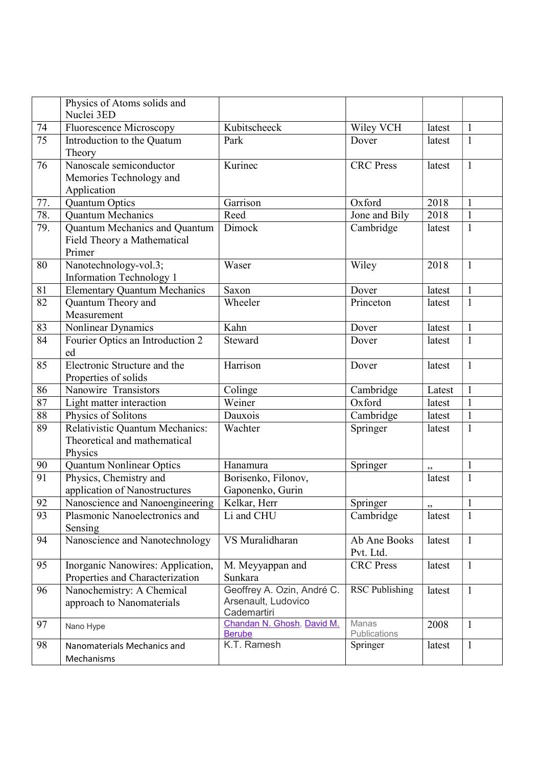|     | Physics of Atoms solids and<br>Nuclei 3ED                                  |                                                                  |                           |        |              |
|-----|----------------------------------------------------------------------------|------------------------------------------------------------------|---------------------------|--------|--------------|
| 74  | Fluorescence Microscopy                                                    | Kubitscheeck                                                     | Wiley VCH                 | latest | $\mathbf{1}$ |
| 75  | Introduction to the Quatum<br>Theory                                       | Park                                                             | Dover                     | latest | $\mathbf{1}$ |
| 76  | Nanoscale semiconductor<br>Memories Technology and<br>Application          | Kurinec                                                          | <b>CRC</b> Press          | latest | $\mathbf{1}$ |
| 77. | Quantum Optics                                                             | Garrison                                                         | Oxford                    | 2018   | $\mathbf{1}$ |
| 78. | <b>Quantum Mechanics</b>                                                   | Reed                                                             | Jone and Bily             | 2018   | $\mathbf{1}$ |
| 79. | Quantum Mechanics and Quantum<br>Field Theory a Mathematical<br>Primer     | Dimock                                                           | Cambridge                 | latest | $\mathbf{1}$ |
| 80  | Nanotechnology-vol.3;<br><b>Information Technology 1</b>                   | Waser                                                            | Wiley                     | 2018   | $\mathbf{1}$ |
| 81  | <b>Elementary Quantum Mechanics</b>                                        | Saxon                                                            | Dover                     | latest | $\mathbf{1}$ |
| 82  | Quantum Theory and<br>Measurement                                          | Wheeler                                                          | Princeton                 | latest | $\mathbf{1}$ |
| 83  | Nonlinear Dynamics                                                         | Kahn                                                             | Dover                     | latest | $\mathbf{1}$ |
| 84  | Fourier Optics an Introduction 2<br>ed                                     | Steward                                                          | Dover                     | latest | $\mathbf{1}$ |
| 85  | Electronic Structure and the<br>Properties of solids                       | Harrison                                                         | Dover                     | latest | $\mathbf{1}$ |
| 86  | Nanowire Transistors                                                       | Colinge                                                          | Cambridge                 | Latest | $\mathbf{1}$ |
| 87  | Light matter interaction                                                   | Weiner                                                           | Oxford                    | latest | $\mathbf{1}$ |
| 88  | Physics of Solitons                                                        | Dauxois                                                          | Cambridge                 | latest | $\mathbf{1}$ |
| 89  | Relativistic Quantum Mechanics:<br>Theoretical and mathematical<br>Physics | Wachter                                                          | Springer                  | latest | $\mathbf{1}$ |
| 90  | <b>Quantum Nonlinear Optics</b>                                            | Hanamura                                                         | Springer                  | ,,     | $\mathbf{1}$ |
| 91  | Physics, Chemistry and<br>application of Nanostructures                    | Borisenko, Filonov,<br>Gaponenko, Gurin                          |                           | latest | $\mathbf{1}$ |
| 92  | Nanoscience and Nanoengineering   Kelkar, Herr                             |                                                                  | Springer                  | ,,     | $\mathbf{1}$ |
| 93  | Plasmonic Nanoelectronics and<br>Sensing                                   | Li and CHU                                                       | Cambridge                 | latest | $\mathbf{1}$ |
| 94  | Nanoscience and Nanotechnology                                             | VS Muralidharan                                                  | Ab Ane Books<br>Pvt. Ltd. | latest | $\mathbf{1}$ |
| 95  | Inorganic Nanowires: Application,<br>Properties and Characterization       | M. Meyyappan and<br>Sunkara                                      | <b>CRC</b> Press          | latest | $\mathbf{1}$ |
| 96  | Nanochemistry: A Chemical<br>approach to Nanomaterials                     | Geoffrey A. Ozin, André C.<br>Arsenault, Ludovico<br>Cademartiri | <b>RSC Publishing</b>     | latest | $\mathbf{1}$ |
| 97  | Nano Hype                                                                  | Chandan N. Ghosh, David M.<br><b>Berube</b>                      | Manas<br>Publications     | 2008   | $\mathbf{1}$ |
| 98  | Nanomaterials Mechanics and<br>Mechanisms                                  | K.T. Ramesh                                                      | Springer                  | latest | $\mathbf{1}$ |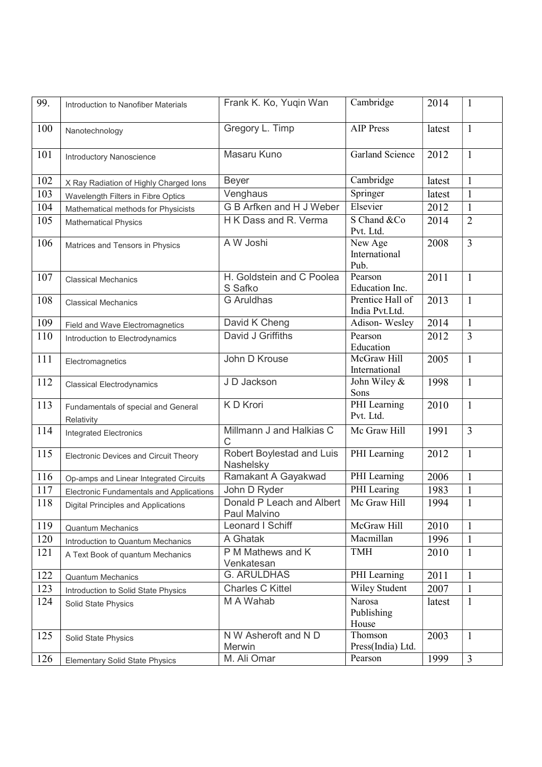| 99. | Introduction to Nanofiber Materials               | Frank K. Ko, Yuqin Wan                    | Cambridge                          | 2014   | 1              |
|-----|---------------------------------------------------|-------------------------------------------|------------------------------------|--------|----------------|
| 100 | Nanotechnology                                    | Gregory L. Timp                           | <b>AIP Press</b>                   | latest | $\mathbf{1}$   |
| 101 | <b>Introductory Nanoscience</b>                   | Masaru Kuno                               | Garland Science                    | 2012   | $\mathbf{1}$   |
| 102 | X Ray Radiation of Highly Charged Ions            | <b>Beyer</b>                              | Cambridge                          | latest | $\mathbf{1}$   |
| 103 | Wavelength Filters in Fibre Optics                | Venghaus                                  | Springer                           | latest | $\mathbf{1}$   |
| 104 | Mathematical methods for Physicists               | G B Arfken and H J Weber                  | Elsevier                           | 2012   | $\mathbf{1}$   |
| 105 | <b>Mathematical Physics</b>                       | H K Dass and R. Verma                     | S Chand & Co<br>Pvt. Ltd.          | 2014   | $\overline{2}$ |
| 106 | Matrices and Tensors in Physics                   | A W Joshi                                 | New Age<br>International<br>Pub.   | 2008   | $\overline{3}$ |
| 107 | <b>Classical Mechanics</b>                        | H. Goldstein and C Poolea<br>S Safko      | Pearson<br>Education Inc.          | 2011   | $\mathbf{1}$   |
| 108 | <b>Classical Mechanics</b>                        | <b>G</b> Aruldhas                         | Prentice Hall of<br>India Pvt.Ltd. | 2013   | $\mathbf{1}$   |
| 109 | Field and Wave Electromagnetics                   | David K Cheng                             | Adison-Wesley                      | 2014   | $\mathbf{1}$   |
| 110 | Introduction to Electrodynamics                   | David J Griffiths                         | Pearson<br>Education               | 2012   | $\overline{3}$ |
| 111 | Electromagnetics                                  | John D Krouse                             | McGraw Hill<br>International       | 2005   | $\mathbf{1}$   |
| 112 | <b>Classical Electrodynamics</b>                  | J D Jackson                               | John Wiley &<br>Sons               | 1998   | $\mathbf{1}$   |
| 113 | Fundamentals of special and General<br>Relativity | K D Krori                                 | PHI Learning<br>Pvt. Ltd.          | 2010   | $\mathbf{1}$   |
| 114 | <b>Integrated Electronics</b>                     | Millmann J and Halkias C<br>C             | Mc Graw Hill                       | 1991   | $\overline{3}$ |
| 115 | <b>Electronic Devices and Circuit Theory</b>      | Robert Boylestad and Luis<br>Nashelsky    | PHI Learning                       | 2012   | $\mathbf{1}$   |
| 116 | Op-amps and Linear Integrated Circuits            | Ramakant A Gayakwad                       | PHI Learning                       | 2006   | $\mathbf{1}$   |
| 117 | <b>Electronic Fundamentals and Applications</b>   | John D Ryder                              | PHI Learing                        | 1983   | $\mathbf{1}$   |
| 118 | Digital Principles and Applications               | Donald P Leach and Albert<br>Paul Malvino | Mc Graw Hill                       | 1994   | $\mathbf{1}$   |
| 119 | <b>Quantum Mechanics</b>                          | Leonard I Schiff                          | McGraw Hill                        | 2010   | $\mathbf{1}$   |
| 120 | Introduction to Quantum Mechanics                 | A Ghatak                                  | Macmillan                          | 1996   | $\mathbf{1}$   |
| 121 | A Text Book of quantum Mechanics                  | P M Mathews and K<br>Venkatesan           | <b>TMH</b>                         | 2010   | $\mathbf{1}$   |
| 122 | <b>Quantum Mechanics</b>                          | <b>G. ARULDHAS</b>                        | PHI Learning                       | 2011   | $\mathbf{1}$   |
| 123 | Introduction to Solid State Physics               | <b>Charles C Kittel</b>                   | Wiley Student                      | 2007   | $\mathbf{1}$   |
| 124 | Solid State Physics                               | M A Wahab                                 | Narosa<br>Publishing<br>House      | latest | $\mathbf{1}$   |
| 125 | Solid State Physics                               | N W Asheroft and N D<br>Merwin            | Thomson<br>Press(India) Ltd.       | 2003   | $\mathbf{1}$   |
| 126 | <b>Elementary Solid State Physics</b>             | M. Ali Omar                               | Pearson                            | 1999   | $\overline{3}$ |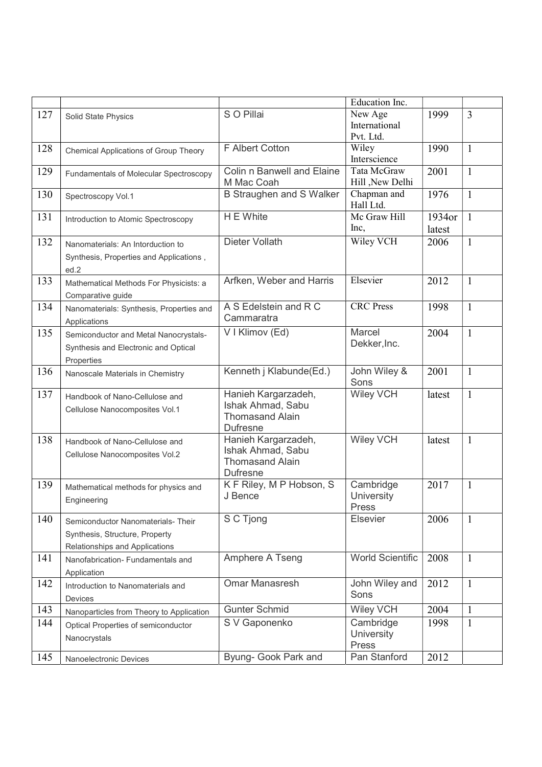|     |                                          |                                 | Education Inc.            |        |              |
|-----|------------------------------------------|---------------------------------|---------------------------|--------|--------------|
| 127 | Solid State Physics                      | S O Pillai                      | New Age                   | 1999   | 3            |
|     |                                          |                                 | International             |        |              |
|     |                                          |                                 | Pvt. Ltd.                 |        |              |
| 128 | Chemical Applications of Group Theory    | <b>F Albert Cotton</b>          | Wiley                     | 1990   | $\mathbf{1}$ |
|     |                                          |                                 | Interscience              |        |              |
| 129 | Fundamentals of Molecular Spectroscopy   | Colin n Banwell and Elaine      | Tata McGraw               | 2001   | $\mathbf{1}$ |
|     |                                          | M Mac Coah                      | Hill, New Delhi           |        |              |
| 130 | Spectroscopy Vol.1                       | <b>B Straughen and S Walker</b> | Chapman and               | 1976   | $\mathbf{1}$ |
|     |                                          | H E White                       | Hall Ltd.<br>Mc Graw Hill |        |              |
| 131 | Introduction to Atomic Spectroscopy      |                                 |                           | 1934or | $\mathbf{1}$ |
|     |                                          |                                 | Inc,                      | latest |              |
| 132 | Nanomaterials: An Intorduction to        | Dieter Vollath                  | Wiley VCH                 | 2006   | $\mathbf{1}$ |
|     | Synthesis, Properties and Applications,  |                                 |                           |        |              |
|     | ed.2                                     |                                 |                           |        |              |
| 133 | Mathematical Methods For Physicists: a   | Arfken, Weber and Harris        | Elsevier                  | 2012   | $\mathbf{1}$ |
|     | Comparative guide                        |                                 |                           |        |              |
| 134 | Nanomaterials: Synthesis, Properties and | A S Edelstein and R C           | <b>CRC</b> Press          | 1998   | $\mathbf{1}$ |
|     | Applications                             | Cammaratra                      |                           |        |              |
| 135 | Semiconductor and Metal Nanocrystals-    | V I Klimov (Ed)                 | Marcel                    | 2004   | $\mathbf{1}$ |
|     | Synthesis and Electronic and Optical     |                                 | Dekker, Inc.              |        |              |
|     | Properties                               |                                 |                           |        |              |
| 136 |                                          | Kenneth j Klabunde(Ed.)         | John Wiley &              | 2001   | $\mathbf{1}$ |
|     | Nanoscale Materials in Chemistry         |                                 | Sons                      |        |              |
| 137 | Handbook of Nano-Cellulose and           | Hanieh Kargarzadeh,             | <b>Wiley VCH</b>          | latest | $\mathbf{1}$ |
|     | Cellulose Nanocomposites Vol.1           | Ishak Ahmad, Sabu               |                           |        |              |
|     |                                          | <b>Thomasand Alain</b>          |                           |        |              |
|     |                                          | <b>Dufresne</b>                 |                           |        |              |
| 138 | Handbook of Nano-Cellulose and           | Hanieh Kargarzadeh,             | <b>Wiley VCH</b>          | latest | $\mathbf{1}$ |
|     | Cellulose Nanocomposites Vol.2           | Ishak Ahmad, Sabu               |                           |        |              |
|     |                                          | <b>Thomasand Alain</b>          |                           |        |              |
|     |                                          | <b>Dufresne</b>                 |                           |        |              |
| 139 | Mathematical methods for physics and     | K F Riley, M P Hobson, S        | Cambridge                 | 2017   | $\mathbf{1}$ |
|     | Engineering                              | J Bence                         | University                |        |              |
| 140 |                                          | S C Tjong                       | Press<br><b>Elsevier</b>  | 2006   | $\mathbf{1}$ |
|     | Semiconductor Nanomaterials- Their       |                                 |                           |        |              |
|     | Synthesis, Structure, Property           |                                 |                           |        |              |
|     | Relationships and Applications           |                                 |                           |        |              |
| 141 | Nanofabrication- Fundamentals and        | Amphere A Tseng                 | <b>World Scientific</b>   | 2008   | $\mathbf{1}$ |
|     | Application                              |                                 |                           |        |              |
| 142 | Introduction to Nanomaterials and        | <b>Omar Manasresh</b>           | John Wiley and            | 2012   | $\mathbf{1}$ |
|     | Devices                                  |                                 | Sons                      |        |              |
| 143 | Nanoparticles from Theory to Application | <b>Gunter Schmid</b>            | <b>Wiley VCH</b>          | 2004   | $\mathbf{1}$ |
| 144 | Optical Properties of semiconductor      | S V Gaponenko                   | Cambridge                 | 1998   | $\mathbf{1}$ |
|     | Nanocrystals                             |                                 | <b>University</b>         |        |              |
|     |                                          |                                 | Press                     |        |              |
| 145 | Nanoelectronic Devices                   | Byung- Gook Park and            | Pan Stanford              | 2012   |              |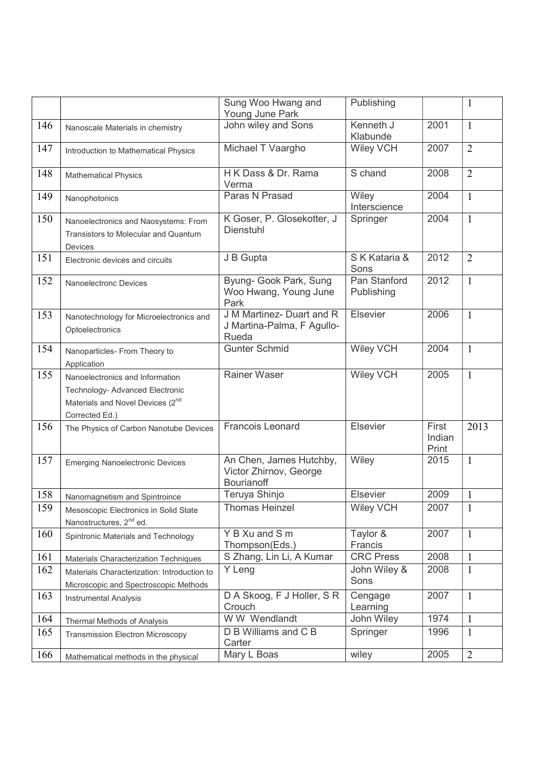|     |                                                                                                                                      | Sung Woo Hwang and<br>Young June Park                                  | Publishing                 |                          | $\mathbf{1}$   |
|-----|--------------------------------------------------------------------------------------------------------------------------------------|------------------------------------------------------------------------|----------------------------|--------------------------|----------------|
| 146 | Nanoscale Materials in chemistry                                                                                                     | John wiley and Sons                                                    | Kenneth J<br>Klabunde      | 2001                     | $\mathbf{1}$   |
| 147 | Introduction to Mathematical Physics                                                                                                 | Michael T Vaargho                                                      | <b>Wiley VCH</b>           | 2007                     | $\overline{2}$ |
| 148 | <b>Mathematical Physics</b>                                                                                                          | H K Dass & Dr. Rama<br>Verma                                           | S chand                    | 2008                     | $\overline{2}$ |
| 149 | Nanophotonics                                                                                                                        | Paras N Prasad                                                         | Wiley<br>Interscience      | 2004                     | $\mathbf{1}$   |
| 150 | Nanoelectronics and Naosystems: From<br>Transistors to Molecular and Quantum<br>Devices                                              | K Goser, P. Glosekotter, J<br><b>Dienstuhl</b>                         | Springer                   | 2004                     | $\mathbf{1}$   |
| 151 | Electronic devices and circuits                                                                                                      | J B Gupta                                                              | S K Kataria &<br>Sons      | 2012                     | $\overline{2}$ |
| 152 | <b>Nanoelectronc Devices</b>                                                                                                         | Byung- Gook Park, Sung<br>Woo Hwang, Young June<br>Park                | Pan Stanford<br>Publishing | 2012                     | $\mathbf{1}$   |
| 153 | Nanotechnology for Microelectronics and<br>Optoelectronics                                                                           | J M Martinez- Duart and R<br>J Martina-Palma, F Agullo-<br>Rueda       | Elsevier                   | 2006                     | $\mathbf{1}$   |
| 154 | Nanoparticles- From Theory to<br>Application                                                                                         | <b>Gunter Schmid</b>                                                   | <b>Wiley VCH</b>           | 2004                     | $\mathbf{1}$   |
| 155 | Nanoelectronics and Information<br>Technology- Advanced Electronic<br>Materials and Novel Devices (2 <sup>nd</sup><br>Corrected Ed.) | <b>Rainer Waser</b>                                                    | <b>Wiley VCH</b>           | 2005                     | $\mathbf{1}$   |
| 156 | The Physics of Carbon Nanotube Devices                                                                                               | <b>Francois Leonard</b>                                                | Elsevier                   | First<br>Indian<br>Print | 2013           |
| 157 | <b>Emerging Nanoelectronic Devices</b>                                                                                               | An Chen, James Hutchby,<br>Victor Zhirnov, George<br><b>Bourianoff</b> | Wiley                      | 2015                     | $\mathbf{1}$   |
| 158 | Nanomagnetism and Spintroince                                                                                                        | Teruya Shinjo                                                          | Elsevier                   | 2009                     | $\mathbf{1}$   |
| 159 | Mesoscopic Electronics in Solid State<br>Nanostructures, 2 <sup>nd</sup> ed.                                                         | <b>Thomas Heinzel</b>                                                  | <b>Wiley VCH</b>           | 2007                     | $\mathbf{1}$   |
| 160 | Spintronic Materials and Technology                                                                                                  | Y B Xu and S m<br>Thompson(Eds.)                                       | Taylor &<br>Francis        | 2007                     | $\mathbf{1}$   |
| 161 | Materials Characterization Techniques                                                                                                | S Zhang, Lin Li, A Kumar                                               | <b>CRC</b> Press           | 2008                     | $\mathbf{1}$   |
| 162 | Materials Characterization: Introduction to<br>Microscopic and Spectroscopic Methods                                                 | Y Leng                                                                 | John Wiley &<br>Sons       | 2008                     | $\mathbf{1}$   |
| 163 | <b>Instrumental Analysis</b>                                                                                                         | D A Skoog, F J Holler, S R<br>Crouch                                   | Cengage<br>Learning        | 2007                     | $\mathbf{1}$   |
| 164 | Thermal Methods of Analysis                                                                                                          | W W Wendlandt                                                          | John Wiley                 | 1974                     | $\mathbf{1}$   |
| 165 | <b>Transmission Electron Microscopy</b>                                                                                              | D B Williams and C B<br>Carter                                         | Springer                   | 1996                     | $\mathbf{1}$   |
| 166 | Mathematical methods in the physical                                                                                                 | Mary L Boas                                                            | wiley                      | 2005                     | $\overline{2}$ |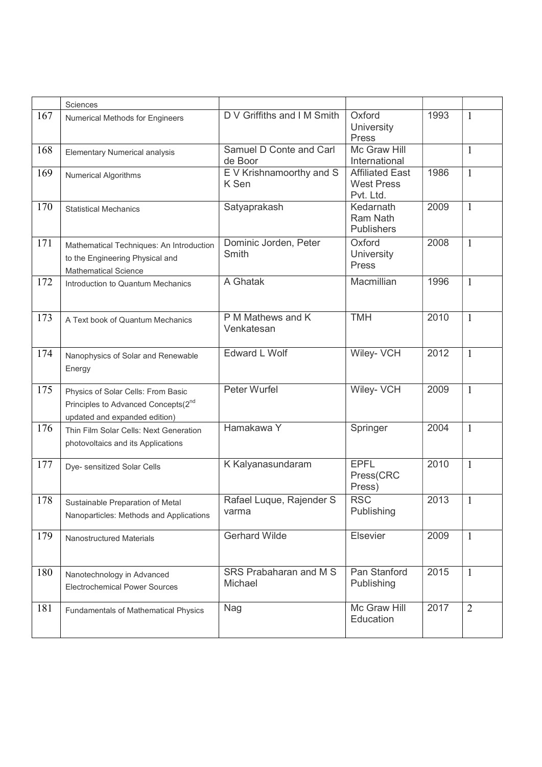|     | Sciences                                                                                                               |                                       |                                                          |      |                |
|-----|------------------------------------------------------------------------------------------------------------------------|---------------------------------------|----------------------------------------------------------|------|----------------|
| 167 | Numerical Methods for Engineers                                                                                        | D V Griffiths and I M Smith           | Oxford<br>University<br>Press                            | 1993 | $\mathbf{1}$   |
| 168 | <b>Elementary Numerical analysis</b>                                                                                   | Samuel D Conte and Carl<br>de Boor    | Mc Graw Hill<br>International                            |      | $\mathbf{1}$   |
| 169 | <b>Numerical Algorithms</b>                                                                                            | E V Krishnamoorthy and S<br>K Sen     | <b>Affiliated East</b><br><b>West Press</b><br>Pvt. Ltd. | 1986 | $\mathbf{1}$   |
| 170 | <b>Statistical Mechanics</b>                                                                                           | Satyaprakash                          | Kedarnath<br>Ram Nath<br><b>Publishers</b>               | 2009 | 1              |
| 171 | Mathematical Techniques: An Introduction<br>to the Engineering Physical and<br><b>Mathematical Science</b>             | Dominic Jorden, Peter<br><b>Smith</b> | Oxford<br>University<br><b>Press</b>                     | 2008 | $\mathbf{1}$   |
| 172 | Introduction to Quantum Mechanics                                                                                      | A Ghatak                              | Macmillian                                               | 1996 | $\mathbf{1}$   |
| 173 | A Text book of Quantum Mechanics                                                                                       | P M Mathews and K<br>Venkatesan       | <b>TMH</b>                                               | 2010 | $\mathbf{1}$   |
| 174 | Nanophysics of Solar and Renewable<br>Energy                                                                           | <b>Edward L Wolf</b>                  | Wiley- VCH                                               | 2012 | $\mathbf{1}$   |
| 175 | Physics of Solar Cells: From Basic<br>Principles to Advanced Concepts(2 <sup>nd</sup><br>updated and expanded edition) | Peter Wurfel                          | Wiley- VCH                                               | 2009 | $\mathbf{1}$   |
| 176 | Thin Film Solar Cells: Next Generation<br>photovoltaics and its Applications                                           | Hamakawa Y                            | Springer                                                 | 2004 | $\mathbf{1}$   |
| 177 | Dye- sensitized Solar Cells                                                                                            | K Kalyanasundaram                     | <b>EPFL</b><br>Press(CRC<br>Press)                       | 2010 | $\mathbf{1}$   |
| 178 | Sustainable Preparation of Metal<br>Nanoparticles: Methods and Applications                                            | Rafael Luque, Rajender S<br>varma     | <b>RSC</b><br>Publishing                                 | 2013 |                |
| 179 | Nanostructured Materials                                                                                               | <b>Gerhard Wilde</b>                  | Elsevier                                                 | 2009 | $\mathbf{1}$   |
| 180 | Nanotechnology in Advanced<br><b>Electrochemical Power Sources</b>                                                     | SRS Prabaharan and M S<br>Michael     | Pan Stanford<br>Publishing                               | 2015 | $\mathbf{1}$   |
| 181 | <b>Fundamentals of Mathematical Physics</b>                                                                            | Nag                                   | Mc Graw Hill<br>Education                                | 2017 | $\overline{2}$ |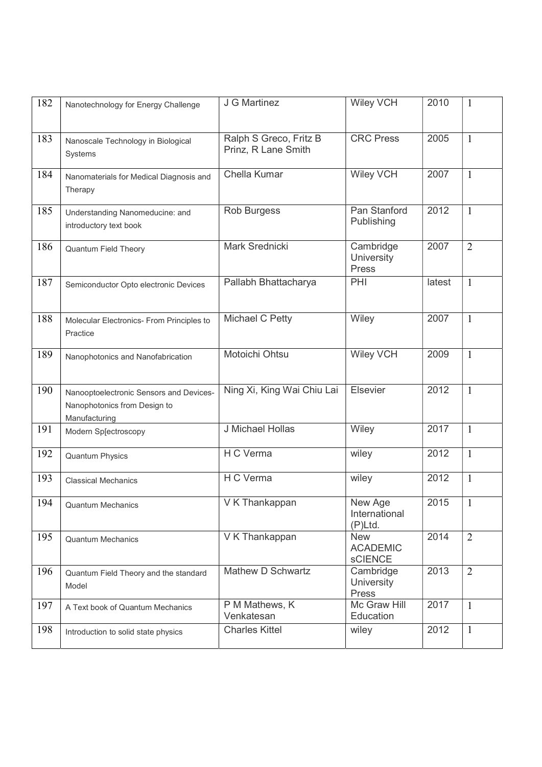| 182 | Nanotechnology for Energy Challenge                                                      | J G Martinez                                  | <b>Wiley VCH</b>                                | 2010   | $\mathbf{1}$   |
|-----|------------------------------------------------------------------------------------------|-----------------------------------------------|-------------------------------------------------|--------|----------------|
| 183 | Nanoscale Technology in Biological<br>Systems                                            | Ralph S Greco, Fritz B<br>Prinz, R Lane Smith | <b>CRC Press</b>                                | 2005   | $\mathbf{1}$   |
| 184 | Nanomaterials for Medical Diagnosis and<br>Therapy                                       | Chella Kumar                                  | <b>Wiley VCH</b>                                | 2007   | $\mathbf{1}$   |
| 185 | Understanding Nanomeducine: and<br>introductory text book                                | Rob Burgess                                   | Pan Stanford<br>Publishing                      | 2012   | $\mathbf{1}$   |
| 186 | <b>Quantum Field Theory</b>                                                              | Mark Srednicki                                | Cambridge<br><b>University</b><br>Press         | 2007   | $\overline{2}$ |
| 187 | Semiconductor Opto electronic Devices                                                    | Pallabh Bhattacharya                          | PHI                                             | latest | $\mathbf{1}$   |
| 188 | Molecular Electronics- From Principles to<br>Practice                                    | Michael C Petty                               | Wiley                                           | 2007   | $\mathbf{1}$   |
| 189 | Nanophotonics and Nanofabrication                                                        | Motoichi Ohtsu                                | <b>Wiley VCH</b>                                | 2009   | $\mathbf{1}$   |
| 190 | Nanooptoelectronic Sensors and Devices-<br>Nanophotonics from Design to<br>Manufacturing | Ning Xi, King Wai Chiu Lai                    | Elsevier                                        | 2012   | $\mathbf{1}$   |
| 191 | Modern Sp[ectroscopy                                                                     | J Michael Hollas                              | Wiley                                           | 2017   | $\mathbf{1}$   |
| 192 | <b>Quantum Physics</b>                                                                   | H C Verma                                     | wiley                                           | 2012   | $\mathbf{1}$   |
| 193 | <b>Classical Mechanics</b>                                                               | H C Verma                                     | wiley                                           | 2012   | $\mathbf{1}$   |
| 194 | <b>Quantum Mechanics</b>                                                                 | $\overline{V}$ K Thankappan                   | New Age<br>International<br>$(P)$ Ltd.          | 2015   | $\mathbf{1}$   |
| 195 | <b>Quantum Mechanics</b>                                                                 | V K Thankappan                                | <b>New</b><br><b>ACADEMIC</b><br><b>sCIENCE</b> | 2014   | $\overline{2}$ |
| 196 | Quantum Field Theory and the standard<br>Model                                           | Mathew D Schwartz                             | Cambridge<br><b>University</b><br>Press         | 2013   | $\overline{2}$ |
| 197 | A Text book of Quantum Mechanics                                                         | P M Mathews, K<br>Venkatesan                  | Mc Graw Hill<br>Education                       | 2017   | $\mathbf{1}$   |
| 198 | Introduction to solid state physics                                                      | <b>Charles Kittel</b>                         | wiley                                           | 2012   | $\mathbf{1}$   |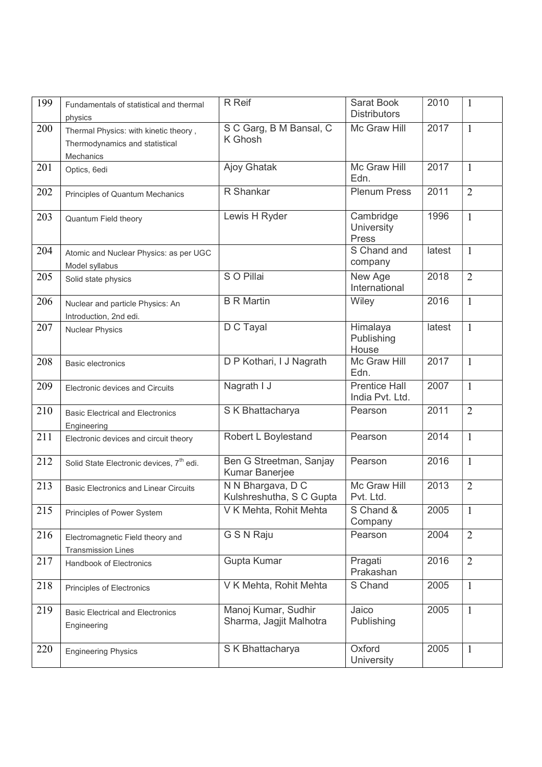| 199 | Fundamentals of statistical and thermal<br>physics                                   | R Reif                                         | Sarat Book<br><b>Distributors</b>       | 2010   | $\mathbf{1}$   |
|-----|--------------------------------------------------------------------------------------|------------------------------------------------|-----------------------------------------|--------|----------------|
| 200 | Thermal Physics: with kinetic theory,<br>Thermodynamics and statistical<br>Mechanics | S C Garg, B M Bansal, C<br>K Ghosh             | Mc Graw Hill                            | 2017   | $\mathbf{1}$   |
| 201 | Optics, 6edi                                                                         | Ajoy Ghatak                                    | Mc Graw Hill<br>Edn.                    | 2017   | $\mathbf{1}$   |
| 202 | Principles of Quantum Mechanics                                                      | R Shankar                                      | <b>Plenum Press</b>                     | 2011   | $\overline{2}$ |
| 203 | <b>Quantum Field theory</b>                                                          | Lewis H Ryder                                  | Cambridge<br><b>University</b><br>Press | 1996   | $\mathbf{1}$   |
| 204 | Atomic and Nuclear Physics: as per UGC<br>Model syllabus                             |                                                | S Chand and<br>company                  | latest | $\mathbf{1}$   |
| 205 | Solid state physics                                                                  | S O Pillai                                     | New Age<br>International                | 2018   | $\overline{2}$ |
| 206 | Nuclear and particle Physics: An<br>Introduction, 2nd edi.                           | <b>B R Martin</b>                              | Wiley                                   | 2016   | $\mathbf{1}$   |
| 207 | <b>Nuclear Physics</b>                                                               | D C Tayal                                      | Himalaya<br>Publishing<br>House         | latest | $\mathbf{1}$   |
| 208 | <b>Basic electronics</b>                                                             | D P Kothari, I J Nagrath                       | Mc Graw Hill<br>Edn.                    | 2017   | $\mathbf{1}$   |
| 209 | Electronic devices and Circuits                                                      | Nagrath I J                                    | <b>Prentice Hall</b><br>India Pvt. Ltd. | 2007   | $\mathbf{1}$   |
| 210 | <b>Basic Electrical and Electronics</b><br>Engineering                               | S K Bhattacharya                               | Pearson                                 | 2011   | $\overline{2}$ |
| 211 | Electronic devices and circuit theory                                                | Robert L Boylestand                            | Pearson                                 | 2014   | $\mathbf{1}$   |
| 212 | Solid State Electronic devices, 7 <sup>th</sup> edi.                                 | Ben G Streetman, Sanjay<br>Kumar Banerjee      | Pearson                                 | 2016   | $\mathbf{1}$   |
| 213 | <b>Basic Electronics and Linear Circuits</b>                                         | N N Bhargava, D C<br>Kulshreshutha, S C Gupta  | Mc Graw Hill<br>Pvt. Ltd.               | 2013   | $\overline{2}$ |
| 215 | Principles of Power System                                                           | V K Mehta, Rohit Mehta                         | S Chand &<br>Company                    | 2005   | $\mathbf{1}$   |
| 216 | Electromagnetic Field theory and<br><b>Transmission Lines</b>                        | G S N Raju                                     | Pearson                                 | 2004   | $\overline{2}$ |
| 217 | Handbook of Electronics                                                              | Gupta Kumar                                    | Pragati<br>Prakashan                    | 2016   | $\overline{2}$ |
| 218 | Principles of Electronics                                                            | V K Mehta, Rohit Mehta                         | S Chand                                 | 2005   | $\mathbf{1}$   |
| 219 | <b>Basic Electrical and Electronics</b><br>Engineering                               | Manoj Kumar, Sudhir<br>Sharma, Jagjit Malhotra | Jaico<br>Publishing                     | 2005   | $\mathbf{1}$   |
| 220 | <b>Engineering Physics</b>                                                           | S K Bhattacharya                               | Oxford<br>University                    | 2005   | $\mathbf{1}$   |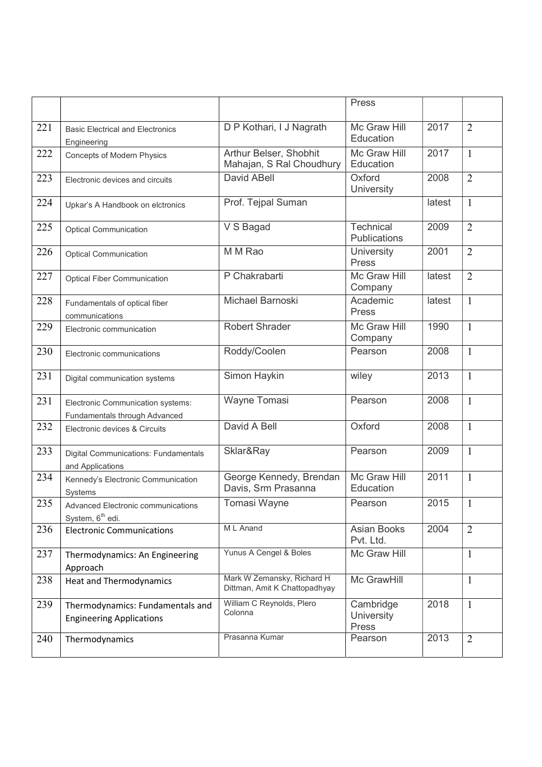|     |                                                                     |                                                             | Press                                   |        |                |
|-----|---------------------------------------------------------------------|-------------------------------------------------------------|-----------------------------------------|--------|----------------|
|     |                                                                     |                                                             |                                         |        |                |
| 221 | <b>Basic Electrical and Electronics</b><br>Engineering              | D P Kothari, I J Nagrath                                    | Mc Graw Hill<br>Education               | 2017   | $\overline{2}$ |
| 222 | <b>Concepts of Modern Physics</b>                                   | Arthur Belser, Shobhit<br>Mahajan, S Ral Choudhury          | Mc Graw Hill<br>Education               | 2017   | $\mathbf{1}$   |
| 223 | Electronic devices and circuits                                     | David ABell                                                 | Oxford<br>University                    | 2008   | $\overline{2}$ |
| 224 | Upkar's A Handbook on elctronics                                    | Prof. Tejpal Suman                                          |                                         | latest | $\mathbf{1}$   |
| 225 | <b>Optical Communication</b>                                        | V S Bagad                                                   | Technical<br>Publications               | 2009   | $\overline{2}$ |
| 226 | <b>Optical Communication</b>                                        | M M Rao                                                     | University<br>Press                     | 2001   | $\overline{2}$ |
| 227 | <b>Optical Fiber Communication</b>                                  | P Chakrabarti                                               | Mc Graw Hill<br>Company                 | latest | $\overline{2}$ |
| 228 | Fundamentals of optical fiber<br>communications                     | Michael Barnoski                                            | Academic<br>Press                       | latest | $\mathbf{1}$   |
| 229 | Electronic communication                                            | <b>Robert Shrader</b>                                       | Mc Graw Hill<br>Company                 | 1990   | $\mathbf{1}$   |
| 230 | Electronic communications                                           | Roddy/Coolen                                                | Pearson                                 | 2008   | $\mathbf{1}$   |
| 231 | Digital communication systems                                       | Simon Haykin                                                | wiley                                   | 2013   | $\mathbf{1}$   |
| 231 | Electronic Communication systems:<br>Fundamentals through Advanced  | <b>Wayne Tomasi</b>                                         | Pearson                                 | 2008   | $\mathbf{1}$   |
| 232 | Electronic devices & Circuits                                       | David A Bell                                                | Oxford                                  | 2008   | $\mathbf{1}$   |
| 233 | <b>Digital Communications: Fundamentals</b><br>and Applications     | Sklar&Ray                                                   | Pearson                                 | 2009   | $\mathbf{1}$   |
| 234 | Kennedy's Electronic Communication<br>Systems                       | George Kennedy, Brendan<br>Davis, Srm Prasanna              | Mc Graw Hill<br>Education               | 2011   | $\mathbf{1}$   |
| 235 | Advanced Electronic communications<br>System, 6 <sup>th</sup> edi.  | Tomasi Wayne                                                | Pearson                                 | 2015   | $\mathbf{1}$   |
| 236 | <b>Electronic Communications</b>                                    | M L Anand                                                   | <b>Asian Books</b><br>Pvt. Ltd.         | 2004   | $\overline{2}$ |
| 237 | Thermodynamics: An Engineering<br>Approach                          | Yunus A Cengel & Boles                                      | Mc Graw Hill                            |        | $\mathbf{1}$   |
| 238 | <b>Heat and Thermodynamics</b>                                      | Mark W Zemansky, Richard H<br>Dittman, Amit K Chattopadhyay | Mc GrawHill                             |        | $\mathbf{1}$   |
| 239 | Thermodynamics: Fundamentals and<br><b>Engineering Applications</b> | William C Reynolds, Plero<br>Colonna                        | Cambridge<br><b>University</b><br>Press | 2018   | $\mathbf{1}$   |
| 240 | Thermodynamics                                                      | Prasanna Kumar                                              | Pearson                                 | 2013   | $\overline{2}$ |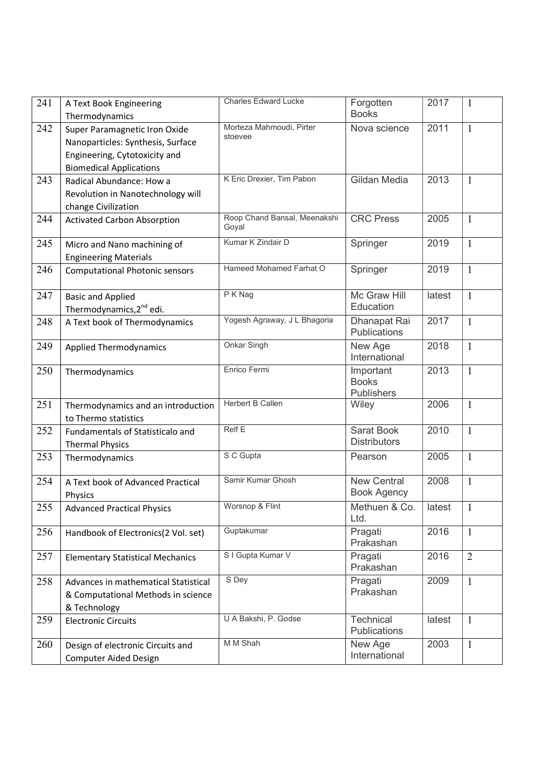| 241 | A Text Book Engineering<br>Thermodynamics                                                                                             | <b>Charles Edward Lucke</b>           | Forgotten<br><b>Books</b>                | 2017   | $\mathbf{1}$   |
|-----|---------------------------------------------------------------------------------------------------------------------------------------|---------------------------------------|------------------------------------------|--------|----------------|
| 242 | Super Paramagnetic Iron Oxide<br>Nanoparticles: Synthesis, Surface<br>Engineering, Cytotoxicity and<br><b>Biomedical Applications</b> | Morteza Mahmoudi, Pirter<br>stoevee   | Nova science                             | 2011   | $\mathbf{1}$   |
| 243 | Radical Abundance: How a<br>Revolution in Nanotechnology will<br>change Civilization                                                  | K Eric Drexier, Tim Pabon             | Gildan Media                             | 2013   | 1              |
| 244 | <b>Activated Carbon Absorption</b>                                                                                                    | Roop Chand Bansal, Meenakshi<br>Goyal | <b>CRC Press</b>                         | 2005   | $\mathbf{1}$   |
| 245 | Micro and Nano machining of<br><b>Engineering Materials</b>                                                                           | Kumar K Zindair D                     | Springer                                 | 2019   | $\mathbf{1}$   |
| 246 | <b>Computational Photonic sensors</b>                                                                                                 | Hameed Mohamed Farhat O               | Springer                                 | 2019   | $\mathbf{1}$   |
| 247 | <b>Basic and Applied</b><br>Thermodynamics, 2 <sup>nd</sup> edi.                                                                      | P K Nag                               | Mc Graw Hill<br>Education                | latest | $\mathbf{1}$   |
| 248 | A Text book of Thermodynamics                                                                                                         | Yogesh Agraway, J L Bhagoria          | Dhanapat Rai<br>Publications             | 2017   | $\mathbf{1}$   |
| 249 | <b>Applied Thermodynamics</b>                                                                                                         | <b>Onkar Singh</b>                    | New Age<br>International                 | 2018   | $\mathbf{1}$   |
| 250 | Thermodynamics                                                                                                                        | Enrico Fermi                          | Important<br><b>Books</b><br>Publishers  | 2013   | $\mathbf{1}$   |
| 251 | Thermodynamics and an introduction<br>to Thermo statistics                                                                            | <b>Herbert B Callen</b>               | Wiley                                    | 2006   | $\mathbf{1}$   |
| 252 | Fundamentals of Statisticalo and<br><b>Thermal Physics</b>                                                                            | <b>Relf E</b>                         | <b>Sarat Book</b><br><b>Distributors</b> | 2010   | $\mathbf{1}$   |
| 253 | Thermodynamics                                                                                                                        | S C Gupta                             | Pearson                                  | 2005   | $\mathbf{1}$   |
| 254 | A Text book of Advanced Practical<br>Physics                                                                                          | Samir Kumar Ghosh                     | <b>New Central</b><br><b>Book Agency</b> | 2008   | $\mathbf{1}$   |
| 255 | <b>Advanced Practical Physics</b>                                                                                                     | Worsnop & Flint                       | Methuen & Co.<br>Ltd.                    | latest | 1              |
| 256 | Handbook of Electronics(2 Vol. set)                                                                                                   | Guptakumar                            | Pragati<br>Prakashan                     | 2016   | $\mathbf{1}$   |
| 257 | <b>Elementary Statistical Mechanics</b>                                                                                               | S I Gupta Kumar V                     | Pragati<br>Prakashan                     | 2016   | $\overline{2}$ |
| 258 | Advances in mathematical Statistical<br>& Computational Methods in science<br>& Technology                                            | S Dey                                 | Pragati<br>Prakashan                     | 2009   | $\mathbf{1}$   |
| 259 | <b>Electronic Circuits</b>                                                                                                            | U A Bakshi, P. Godse                  | Technical<br>Publications                | latest | $\mathbf{1}$   |
| 260 | Design of electronic Circuits and<br><b>Computer Aided Design</b>                                                                     | M M Shah                              | New Age<br>International                 | 2003   | $\mathbf{1}$   |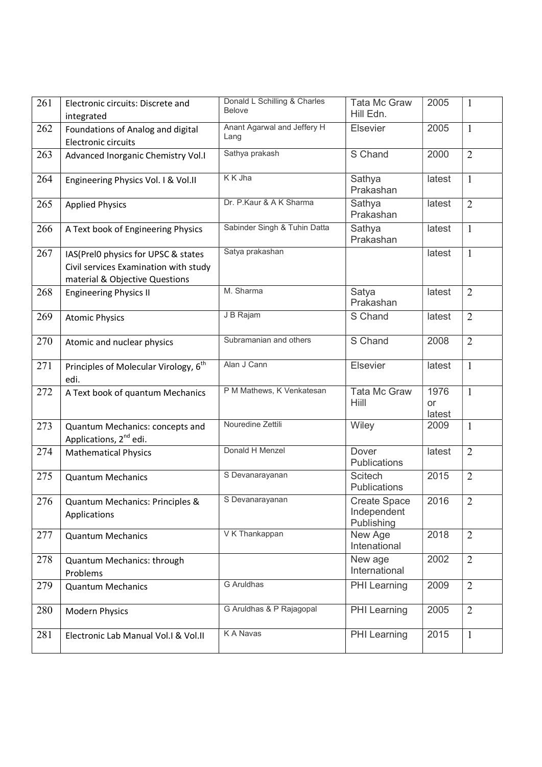| 261 | Electronic circuits: Discrete and<br>integrated                                                                | Donald L Schilling & Charles<br><b>Belove</b> | <b>Tata Mc Graw</b><br>Hill Edn.                 | 2005                        | $\mathbf{1}$   |
|-----|----------------------------------------------------------------------------------------------------------------|-----------------------------------------------|--------------------------------------------------|-----------------------------|----------------|
| 262 | Foundations of Analog and digital<br>Electronic circuits                                                       | Anant Agarwal and Jeffery H<br>Lang           | Elsevier                                         | 2005                        | $\mathbf{1}$   |
| 263 | Advanced Inorganic Chemistry Vol.I                                                                             | Sathya prakash                                | S Chand                                          | 2000                        | $\overline{2}$ |
| 264 | Engineering Physics Vol. I & Vol.II                                                                            | K K Jha                                       | Sathya<br>Prakashan                              | latest                      | $\mathbf{1}$   |
| 265 | <b>Applied Physics</b>                                                                                         | Dr. P.Kaur & A K Sharma                       | Sathya<br>Prakashan                              | latest                      | $\overline{2}$ |
| 266 | A Text book of Engineering Physics                                                                             | Sabinder Singh & Tuhin Datta                  | Sathya<br>Prakashan                              | latest                      | $\mathbf{1}$   |
| 267 | IAS(Prel0 physics for UPSC & states<br>Civil services Examination with study<br>material & Objective Questions | Satya prakashan                               |                                                  | latest                      | $\mathbf{1}$   |
| 268 | <b>Engineering Physics II</b>                                                                                  | M. Sharma                                     | Satya<br>Prakashan                               | latest                      | $\overline{2}$ |
| 269 | <b>Atomic Physics</b>                                                                                          | J B Rajam                                     | S Chand                                          | latest                      | $\overline{2}$ |
| 270 | Atomic and nuclear physics                                                                                     | Subramanian and others                        | S Chand                                          | 2008                        | $\overline{2}$ |
| 271 | Principles of Molecular Virology, 6 <sup>th</sup><br>edi.                                                      | Alan J Cann                                   | Elsevier                                         | latest                      | $\mathbf{1}$   |
| 272 | A Text book of quantum Mechanics                                                                               | P M Mathews, K Venkatesan                     | <b>Tata Mc Graw</b><br>Hiill                     | 1976<br><b>or</b><br>latest | $\mathbf{1}$   |
| 273 | Quantum Mechanics: concepts and<br>Applications, 2 <sup>nd</sup> edi.                                          | Nouredine Zettili                             | Wiley                                            | 2009                        | $\mathbf{1}$   |
| 274 | <b>Mathematical Physics</b>                                                                                    | Donald H Menzel                               | Dover<br>Publications                            | latest                      | $\overline{2}$ |
| 275 | <b>Quantum Mechanics</b>                                                                                       | S Devanarayanan                               | <b>Scitech</b><br>Publications                   | 2015                        | $\overline{2}$ |
| 276 | Quantum Mechanics: Principles &<br>Applications                                                                | S Devanarayanan                               | <b>Create Space</b><br>Independent<br>Publishing | 2016                        | $\overline{2}$ |
| 277 | <b>Quantum Mechanics</b>                                                                                       | V K Thankappan                                | New Age<br>Intenational                          | 2018                        | 2              |
| 278 | Quantum Mechanics: through<br>Problems                                                                         |                                               | New age<br>International                         | 2002                        | $\overline{2}$ |
| 279 | <b>Quantum Mechanics</b>                                                                                       | <b>G</b> Aruldhas                             | PHI Learning                                     | 2009                        | $\overline{2}$ |
| 280 | <b>Modern Physics</b>                                                                                          | G Aruldhas & P Rajagopal                      | <b>PHI</b> Learning                              | 2005                        | $\overline{2}$ |
| 281 | Electronic Lab Manual Vol.1 & Vol.II                                                                           | K A Navas                                     | <b>PHI</b> Learning                              | 2015                        | $\mathbf{1}$   |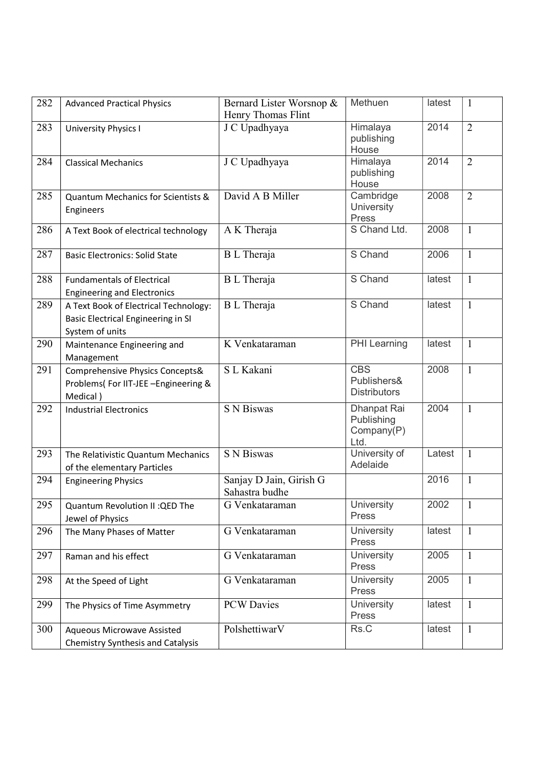| 282 | <b>Advanced Practical Physics</b>                                                              | Bernard Lister Worsnop &<br>Henry Thomas Flint | Methuen                                          | latest | -1             |
|-----|------------------------------------------------------------------------------------------------|------------------------------------------------|--------------------------------------------------|--------|----------------|
| 283 | <b>University Physics I</b>                                                                    | J C Upadhyaya                                  | Himalaya<br>publishing<br>House                  | 2014   | $\overline{2}$ |
| 284 | <b>Classical Mechanics</b>                                                                     | J C Upadhyaya                                  | Himalaya<br>publishing<br>House                  | 2014   | $\overline{2}$ |
| 285 | <b>Quantum Mechanics for Scientists &amp;</b><br>Engineers                                     | David A B Miller                               | Cambridge<br>University<br>Press                 | 2008   | $\overline{2}$ |
| 286 | A Text Book of electrical technology                                                           | A K Theraja                                    | S Chand Ltd.                                     | 2008   | $\mathbf{1}$   |
| 287 | <b>Basic Electronics: Solid State</b>                                                          | <b>B</b> L Theraja                             | S Chand                                          | 2006   | $\mathbf{1}$   |
| 288 | <b>Fundamentals of Electrical</b><br><b>Engineering and Electronics</b>                        | <b>B</b> L Theraja                             | S Chand                                          | latest | $\mathbf{1}$   |
| 289 | A Text Book of Electrical Technology:<br>Basic Electrical Engineering in SI<br>System of units | <b>B</b> L Theraja                             | S Chand                                          | latest | $\mathbf{1}$   |
| 290 | Maintenance Engineering and<br>Management                                                      | K Venkataraman                                 | <b>PHI</b> Learning                              | latest | $\mathbf{1}$   |
| 291 | Comprehensive Physics Concepts&<br>Problems(For IIT-JEE -Engineering &<br>Medical)             | S L Kakani                                     | <b>CBS</b><br>Publishers&<br><b>Distributors</b> | 2008   | $\mathbf{1}$   |
| 292 | <b>Industrial Electronics</b>                                                                  | <b>S N Biswas</b>                              | Dhanpat Rai<br>Publishing<br>Company(P)<br>Ltd.  | 2004   | $\mathbf{1}$   |
| 293 | The Relativistic Quantum Mechanics<br>of the elementary Particles                              | <b>S N Biswas</b>                              | University of<br>Adelaide                        | Latest | $\mathbf{1}$   |
| 294 | <b>Engineering Physics</b>                                                                     | Sanjay D Jain, Girish G<br>Sahastra budhe      |                                                  | 2016   | 1              |
| 295 | Quantum Revolution II: QED The<br>Jewel of Physics                                             | G Venkataraman                                 | University<br><b>Press</b>                       | 2002   | $\mathbf{1}$   |
| 296 | The Many Phases of Matter                                                                      | G Venkataraman                                 | University<br>Press                              | latest | $\mathbf{1}$   |
| 297 | Raman and his effect                                                                           | G Venkataraman                                 | University<br>Press                              | 2005   | $\mathbf{1}$   |
| 298 | At the Speed of Light                                                                          | G Venkataraman                                 | University<br>Press                              | 2005   | $\mathbf{1}$   |
| 299 | The Physics of Time Asymmetry                                                                  | <b>PCW</b> Davies                              | University<br>Press                              | latest | $\mathbf{1}$   |
| 300 | <b>Aqueous Microwave Assisted</b><br><b>Chemistry Synthesis and Catalysis</b>                  | PolshettiwarV                                  | Rs.C                                             | latest | $\mathbf{1}$   |